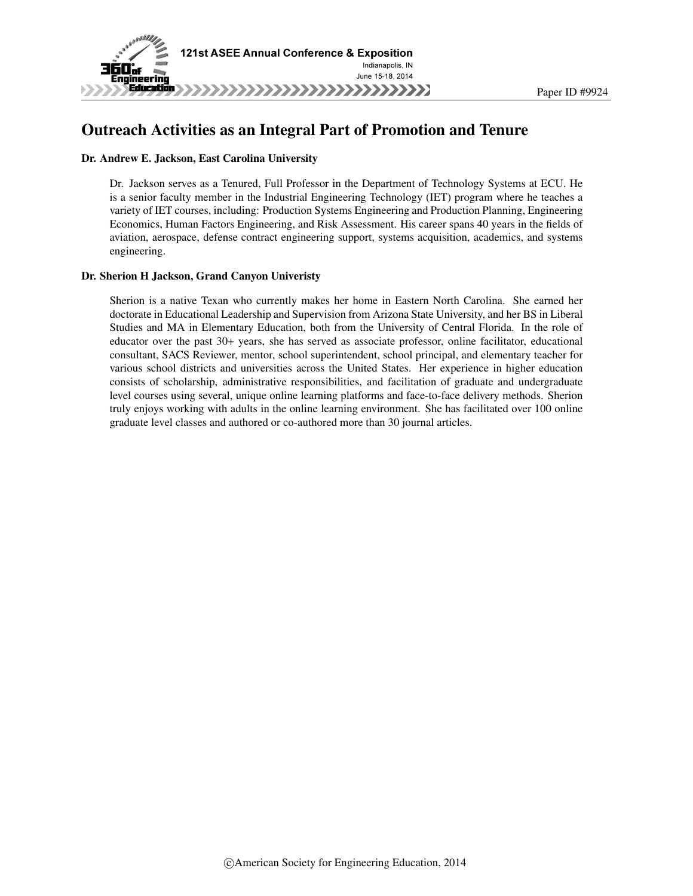

## Outreach Activities as an Integral Part of Promotion and Tenure

### Dr. Andrew E. Jackson, East Carolina University

Dr. Jackson serves as a Tenured, Full Professor in the Department of Technology Systems at ECU. He is a senior faculty member in the Industrial Engineering Technology (IET) program where he teaches a variety of IET courses, including: Production Systems Engineering and Production Planning, Engineering Economics, Human Factors Engineering, and Risk Assessment. His career spans 40 years in the fields of aviation, aerospace, defense contract engineering support, systems acquisition, academics, and systems engineering.

### Dr. Sherion H Jackson, Grand Canyon Univeristy

Sherion is a native Texan who currently makes her home in Eastern North Carolina. She earned her doctorate in Educational Leadership and Supervision from Arizona State University, and her BS in Liberal Studies and MA in Elementary Education, both from the University of Central Florida. In the role of educator over the past 30+ years, she has served as associate professor, online facilitator, educational consultant, SACS Reviewer, mentor, school superintendent, school principal, and elementary teacher for various school districts and universities across the United States. Her experience in higher education consists of scholarship, administrative responsibilities, and facilitation of graduate and undergraduate level courses using several, unique online learning platforms and face-to-face delivery methods. Sherion truly enjoys working with adults in the online learning environment. She has facilitated over 100 online graduate level classes and authored or co-authored more than 30 journal articles.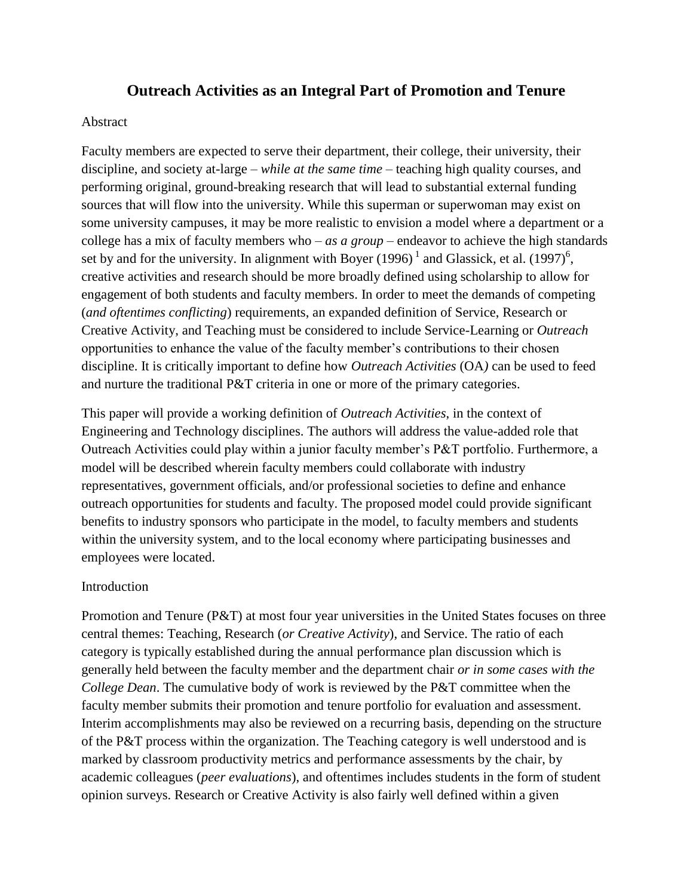# **Outreach Activities as an Integral Part of Promotion and Tenure**

### Abstract

Faculty members are expected to serve their department, their college, their university, their discipline, and society at-large – *while at the same time* – teaching high quality courses, and performing original, ground-breaking research that will lead to substantial external funding sources that will flow into the university. While this superman or superwoman may exist on some university campuses, it may be more realistic to envision a model where a department or a college has a mix of faculty members who – *as a group* – endeavor to achieve the high standards set by and for the university. In alignment with Boyer  $(1996)^{1}$  and Glassick, et al.  $(1997)^{6}$ , creative activities and research should be more broadly defined using scholarship to allow for engagement of both students and faculty members. In order to meet the demands of competing (*and oftentimes conflicting*) requirements, an expanded definition of Service, Research or Creative Activity, and Teaching must be considered to include Service-Learning or *Outreach* opportunities to enhance the value of the faculty member's contributions to their chosen discipline. It is critically important to define how *Outreach Activities* (OA*)* can be used to feed and nurture the traditional P&T criteria in one or more of the primary categories.

This paper will provide a working definition of *Outreach Activities*, in the context of Engineering and Technology disciplines. The authors will address the value-added role that Outreach Activities could play within a junior faculty member's P&T portfolio. Furthermore, a model will be described wherein faculty members could collaborate with industry representatives, government officials, and/or professional societies to define and enhance outreach opportunities for students and faculty. The proposed model could provide significant benefits to industry sponsors who participate in the model, to faculty members and students within the university system, and to the local economy where participating businesses and employees were located.

## Introduction

Promotion and Tenure (P&T) at most four year universities in the United States focuses on three central themes: Teaching, Research (*or Creative Activity*), and Service. The ratio of each category is typically established during the annual performance plan discussion which is generally held between the faculty member and the department chair *or in some cases with the College Dean*. The cumulative body of work is reviewed by the P&T committee when the faculty member submits their promotion and tenure portfolio for evaluation and assessment. Interim accomplishments may also be reviewed on a recurring basis, depending on the structure of the P&T process within the organization. The Teaching category is well understood and is marked by classroom productivity metrics and performance assessments by the chair, by academic colleagues (*peer evaluations*), and oftentimes includes students in the form of student opinion surveys. Research or Creative Activity is also fairly well defined within a given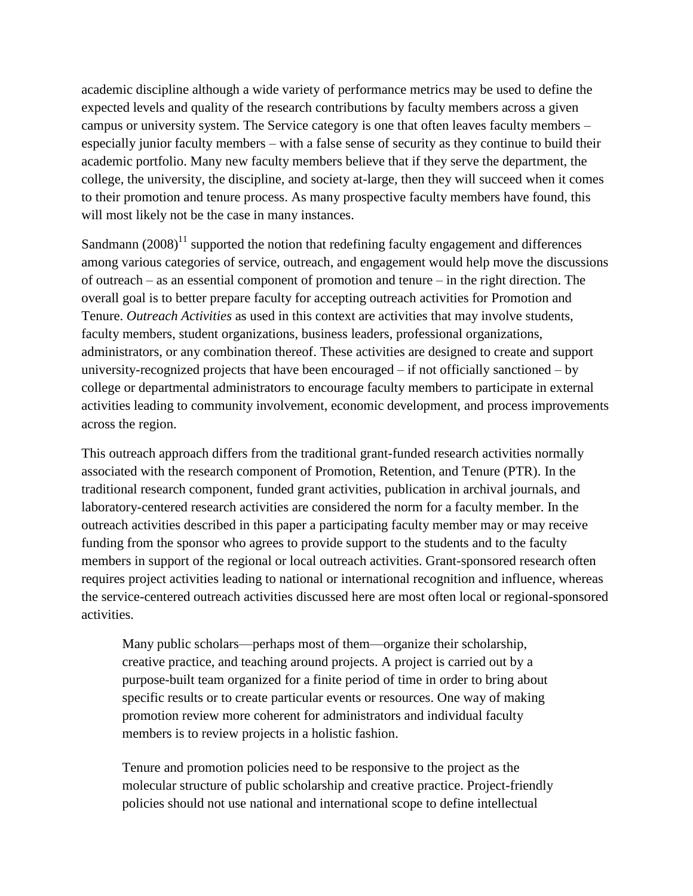academic discipline although a wide variety of performance metrics may be used to define the expected levels and quality of the research contributions by faculty members across a given campus or university system. The Service category is one that often leaves faculty members – especially junior faculty members – with a false sense of security as they continue to build their academic portfolio. Many new faculty members believe that if they serve the department, the college, the university, the discipline, and society at-large, then they will succeed when it comes to their promotion and tenure process. As many prospective faculty members have found, this will most likely not be the case in many instances.

Sandmann  $(2008)^{11}$  supported the notion that redefining faculty engagement and differences among various categories of service, outreach, and engagement would help move the discussions of outreach – as an essential component of promotion and tenure – in the right direction. The overall goal is to better prepare faculty for accepting outreach activities for Promotion and Tenure. *Outreach Activities* as used in this context are activities that may involve students, faculty members, student organizations, business leaders, professional organizations, administrators, or any combination thereof. These activities are designed to create and support university-recognized projects that have been encouraged – if not officially sanctioned – by college or departmental administrators to encourage faculty members to participate in external activities leading to community involvement, economic development, and process improvements across the region.

This outreach approach differs from the traditional grant-funded research activities normally associated with the research component of Promotion, Retention, and Tenure (PTR). In the traditional research component, funded grant activities, publication in archival journals, and laboratory-centered research activities are considered the norm for a faculty member. In the outreach activities described in this paper a participating faculty member may or may receive funding from the sponsor who agrees to provide support to the students and to the faculty members in support of the regional or local outreach activities. Grant-sponsored research often requires project activities leading to national or international recognition and influence, whereas the service-centered outreach activities discussed here are most often local or regional-sponsored activities.

Many public scholars—perhaps most of them—organize their scholarship, creative practice, and teaching around projects. A project is carried out by a purpose-built team organized for a finite period of time in order to bring about specific results or to create particular events or resources. One way of making promotion review more coherent for administrators and individual faculty members is to review projects in a holistic fashion.

Tenure and promotion policies need to be responsive to the project as the molecular structure of public scholarship and creative practice. Project-friendly policies should not use national and international scope to define intellectual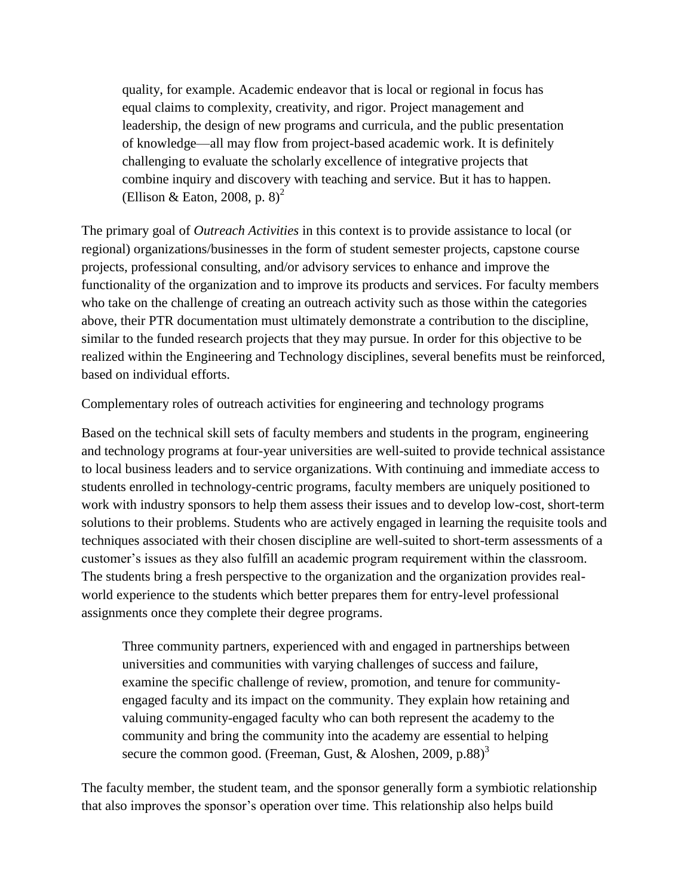quality, for example. Academic endeavor that is local or regional in focus has equal claims to complexity, creativity, and rigor. Project management and leadership, the design of new programs and curricula, and the public presentation of knowledge—all may flow from project-based academic work. It is definitely challenging to evaluate the scholarly excellence of integrative projects that combine inquiry and discovery with teaching and service. But it has to happen. (Ellison & Eaton, 2008, p.  $8)^2$ )

The primary goal of *Outreach Activities* in this context is to provide assistance to local (or regional) organizations/businesses in the form of student semester projects, capstone course projects, professional consulting, and/or advisory services to enhance and improve the functionality of the organization and to improve its products and services. For faculty members who take on the challenge of creating an outreach activity such as those within the categories above, their PTR documentation must ultimately demonstrate a contribution to the discipline, similar to the funded research projects that they may pursue. In order for this objective to be realized within the Engineering and Technology disciplines, several benefits must be reinforced, based on individual efforts.

Complementary roles of outreach activities for engineering and technology programs

Based on the technical skill sets of faculty members and students in the program, engineering and technology programs at four-year universities are well-suited to provide technical assistance to local business leaders and to service organizations. With continuing and immediate access to students enrolled in technology-centric programs, faculty members are uniquely positioned to work with industry sponsors to help them assess their issues and to develop low-cost, short-term solutions to their problems. Students who are actively engaged in learning the requisite tools and techniques associated with their chosen discipline are well-suited to short-term assessments of a customer's issues as they also fulfill an academic program requirement within the classroom. The students bring a fresh perspective to the organization and the organization provides realworld experience to the students which better prepares them for entry-level professional assignments once they complete their degree programs.

Three community partners, experienced with and engaged in partnerships between universities and communities with varying challenges of success and failure, examine the specific challenge of review, promotion, and tenure for communityengaged faculty and its impact on the community. They explain how retaining and valuing community-engaged faculty who can both represent the academy to the community and bring the community into the academy are essential to helping secure the common good. (Freeman, Gust, & Aloshen, 2009, p.88)<sup>3</sup>

The faculty member, the student team, and the sponsor generally form a symbiotic relationship that also improves the sponsor's operation over time. This relationship also helps build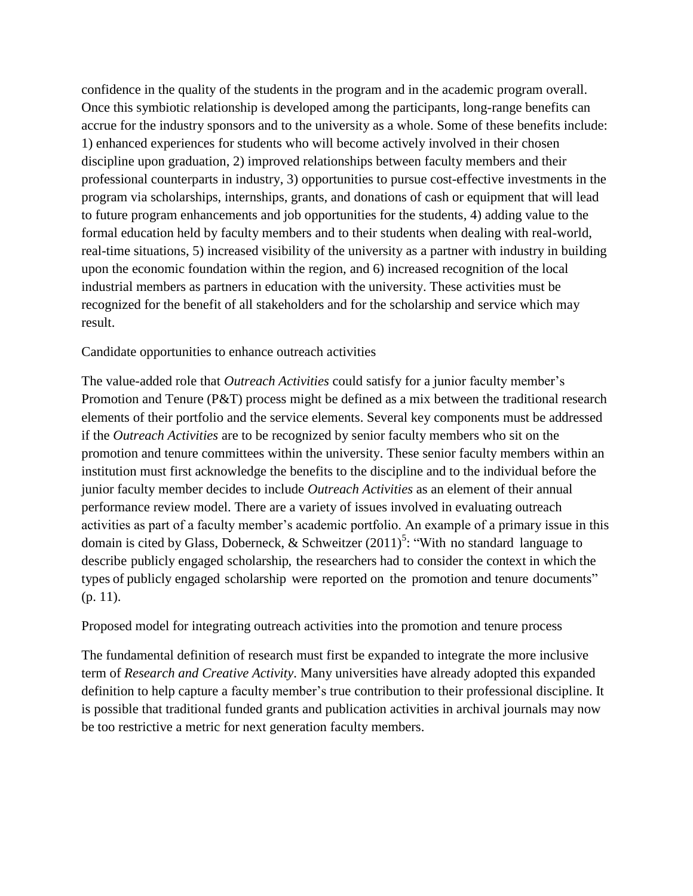confidence in the quality of the students in the program and in the academic program overall. Once this symbiotic relationship is developed among the participants, long-range benefits can accrue for the industry sponsors and to the university as a whole. Some of these benefits include: 1) enhanced experiences for students who will become actively involved in their chosen discipline upon graduation, 2) improved relationships between faculty members and their professional counterparts in industry, 3) opportunities to pursue cost-effective investments in the program via scholarships, internships, grants, and donations of cash or equipment that will lead to future program enhancements and job opportunities for the students, 4) adding value to the formal education held by faculty members and to their students when dealing with real-world, real-time situations, 5) increased visibility of the university as a partner with industry in building upon the economic foundation within the region, and 6) increased recognition of the local industrial members as partners in education with the university. These activities must be recognized for the benefit of all stakeholders and for the scholarship and service which may result.

Candidate opportunities to enhance outreach activities

The value-added role that *Outreach Activities* could satisfy for a junior faculty member's Promotion and Tenure (P&T) process might be defined as a mix between the traditional research elements of their portfolio and the service elements. Several key components must be addressed if the *Outreach Activities* are to be recognized by senior faculty members who sit on the promotion and tenure committees within the university. These senior faculty members within an institution must first acknowledge the benefits to the discipline and to the individual before the junior faculty member decides to include *Outreach Activities* as an element of their annual performance review model. There are a variety of issues involved in evaluating outreach activities as part of a faculty member's academic portfolio. An example of a primary issue in this domain is cited by Glass, Doberneck, & Schweitzer  $(2011)^5$ : "With no standard language to describe publicly engaged scholarship, the researchers had to consider the context in which the types of publicly engaged scholarship were reported on the promotion and tenure documents" (p. 11).

Proposed model for integrating outreach activities into the promotion and tenure process

The fundamental definition of research must first be expanded to integrate the more inclusive term of *Research and Creative Activity*. Many universities have already adopted this expanded definition to help capture a faculty member's true contribution to their professional discipline. It is possible that traditional funded grants and publication activities in archival journals may now be too restrictive a metric for next generation faculty members.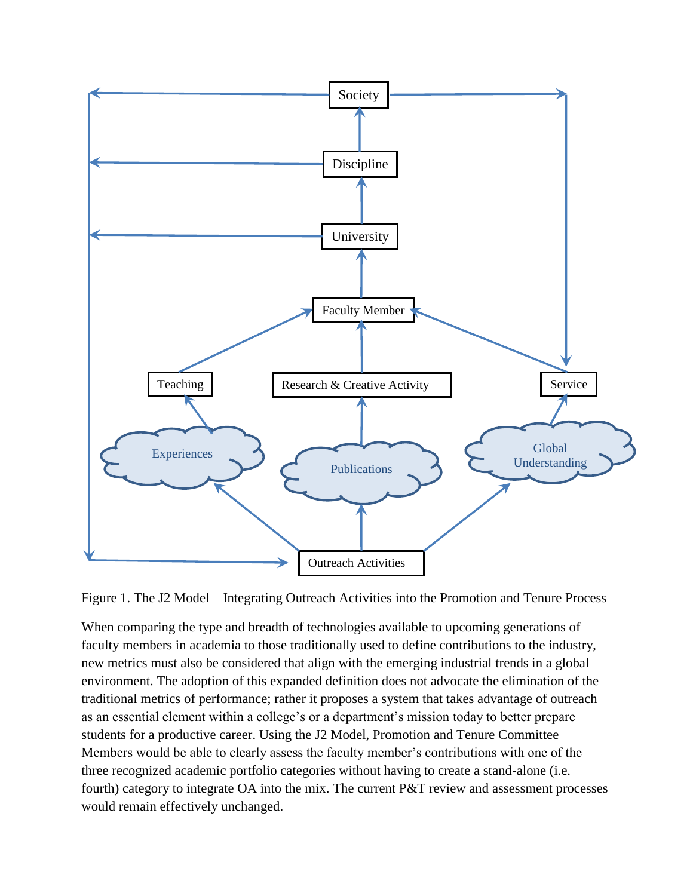

Figure 1. The J2 Model – Integrating Outreach Activities into the Promotion and Tenure Process

When comparing the type and breadth of technologies available to upcoming generations of faculty members in academia to those traditionally used to define contributions to the industry, new metrics must also be considered that align with the emerging industrial trends in a global environment. The adoption of this expanded definition does not advocate the elimination of the traditional metrics of performance; rather it proposes a system that takes advantage of outreach as an essential element within a college's or a department's mission today to better prepare students for a productive career. Using the J2 Model, Promotion and Tenure Committee Members would be able to clearly assess the faculty member's contributions with one of the three recognized academic portfolio categories without having to create a stand-alone (i.e. fourth) category to integrate OA into the mix. The current P&T review and assessment processes would remain effectively unchanged.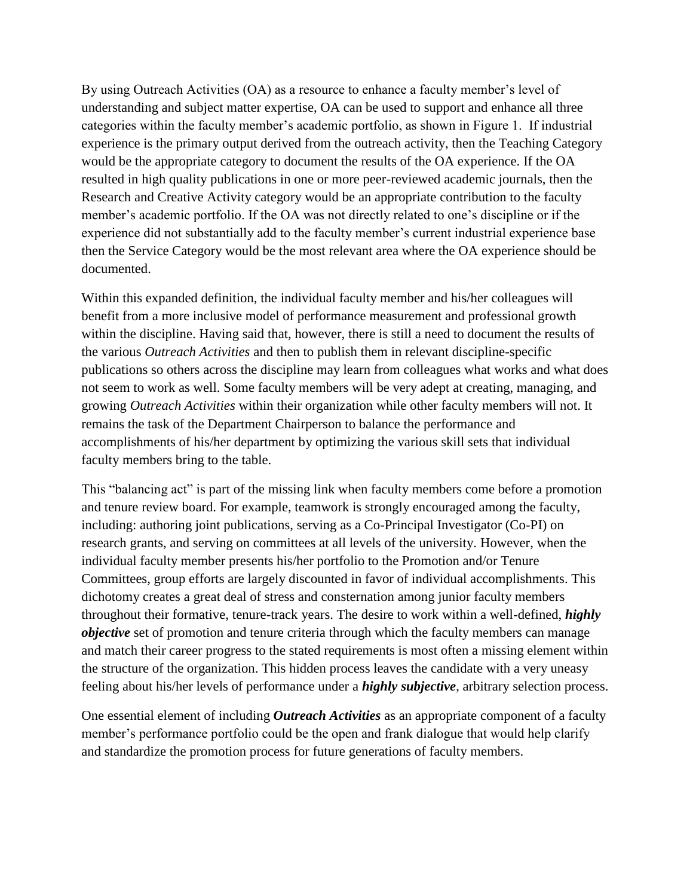By using Outreach Activities (OA) as a resource to enhance a faculty member's level of understanding and subject matter expertise, OA can be used to support and enhance all three categories within the faculty member's academic portfolio, as shown in Figure 1. If industrial experience is the primary output derived from the outreach activity, then the Teaching Category would be the appropriate category to document the results of the OA experience. If the OA resulted in high quality publications in one or more peer-reviewed academic journals, then the Research and Creative Activity category would be an appropriate contribution to the faculty member's academic portfolio. If the OA was not directly related to one's discipline or if the experience did not substantially add to the faculty member's current industrial experience base then the Service Category would be the most relevant area where the OA experience should be documented.

Within this expanded definition, the individual faculty member and his/her colleagues will benefit from a more inclusive model of performance measurement and professional growth within the discipline. Having said that, however, there is still a need to document the results of the various *Outreach Activities* and then to publish them in relevant discipline-specific publications so others across the discipline may learn from colleagues what works and what does not seem to work as well. Some faculty members will be very adept at creating, managing, and growing *Outreach Activities* within their organization while other faculty members will not. It remains the task of the Department Chairperson to balance the performance and accomplishments of his/her department by optimizing the various skill sets that individual faculty members bring to the table.

This "balancing act" is part of the missing link when faculty members come before a promotion and tenure review board. For example, teamwork is strongly encouraged among the faculty, including: authoring joint publications, serving as a Co-Principal Investigator (Co-PI) on research grants, and serving on committees at all levels of the university. However, when the individual faculty member presents his/her portfolio to the Promotion and/or Tenure Committees, group efforts are largely discounted in favor of individual accomplishments. This dichotomy creates a great deal of stress and consternation among junior faculty members throughout their formative, tenure-track years. The desire to work within a well-defined, *highly objective* set of promotion and tenure criteria through which the faculty members can manage and match their career progress to the stated requirements is most often a missing element within the structure of the organization. This hidden process leaves the candidate with a very uneasy feeling about his/her levels of performance under a *highly subjective*, arbitrary selection process.

One essential element of including *Outreach Activities* as an appropriate component of a faculty member's performance portfolio could be the open and frank dialogue that would help clarify and standardize the promotion process for future generations of faculty members.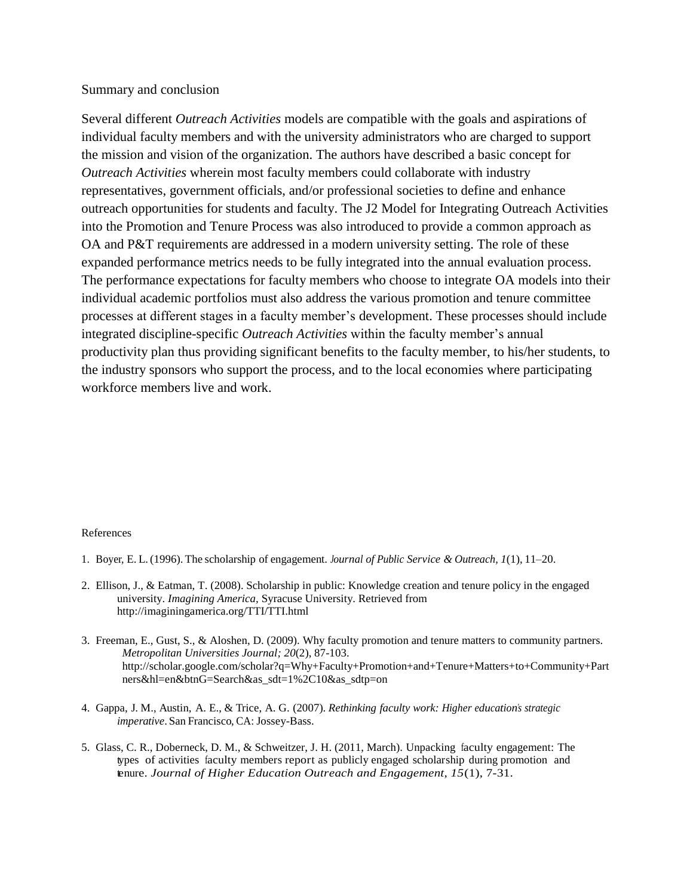### Summary and conclusion

Several different *Outreach Activities* models are compatible with the goals and aspirations of individual faculty members and with the university administrators who are charged to support the mission and vision of the organization. The authors have described a basic concept for *Outreach Activities* wherein most faculty members could collaborate with industry representatives, government officials, and/or professional societies to define and enhance outreach opportunities for students and faculty. The J2 Model for Integrating Outreach Activities into the Promotion and Tenure Process was also introduced to provide a common approach as OA and P&T requirements are addressed in a modern university setting. The role of these expanded performance metrics needs to be fully integrated into the annual evaluation process. The performance expectations for faculty members who choose to integrate OA models into their individual academic portfolios must also address the various promotion and tenure committee processes at different stages in a faculty member's development. These processes should include integrated discipline-specific *Outreach Activities* within the faculty member's annual productivity plan thus providing significant benefits to the faculty member, to his/her students, to the industry sponsors who support the process, and to the local economies where participating workforce members live and work.

#### References

- 1. Boyer, E. L.(1996). The scholarship of engagement. *Journal of Public Service & Outreach, 1*(1), 11–20.
- 2. Ellison, J., & Eatman, T. (2008). Scholarship in public: Knowledge creation and tenure policy in the engaged university. *Imagining America,* Syracuse University. Retrieved from http://imaginingamerica.org/TTI/TTI.html
- 3. Freeman, E., Gust, S., & Aloshen, D. (2009). Why faculty promotion and tenure matters to community partners. *Metropolitan Universities Journal; 20*(2), 87-103. http://scholar.google.com/scholar?q=Why+Faculty+Promotion+and+Tenure+Matters+to+Community+Part ners&hl=en&btnG=Search&as\_sdt=1%2C10&as\_sdtp=on
- 4. Gappa, J. M., Austin, A. E., & Trice, A. G. (2007). *Rethinking faculty work: Higher education's strategic imperative*. San Francisco, CA: Jossey-Bass.
- 5. Glass, C. R., Doberneck, D. M., & Schweitzer, J. H. (2011, March). Unpacking faculty engagement: The types of activities faculty members report as publicly engaged scholarship during promotion and tenure. *Journal of Higher Education Outreach and Engagement, 15*(1), 7-31.